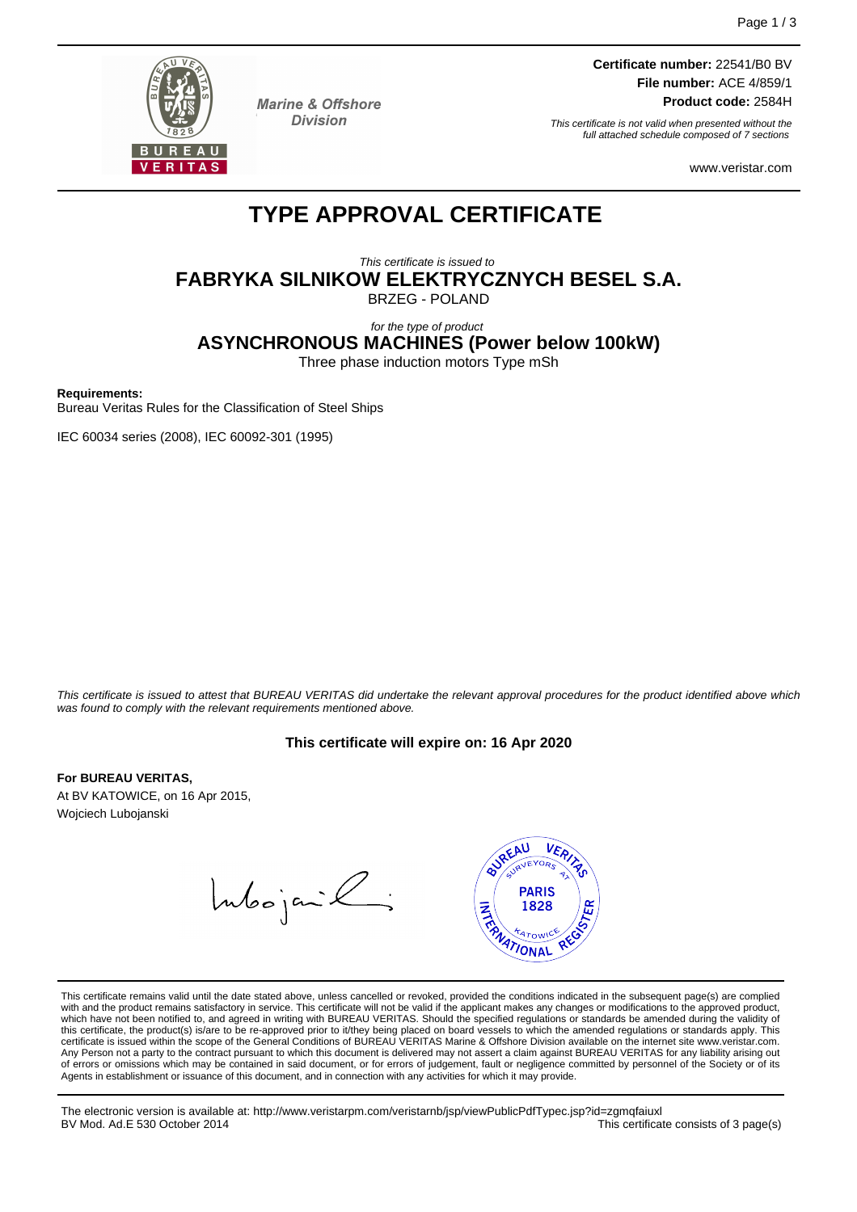

**Marine & Offshore Division** 

**Certificate number:** 22541/B0 BV **File number:** ACE 4/859/1 **Product code:** 2584H

This certificate is not valid when presented without the full attached schedule composed of 7 sections

www.veristar.com

# **TYPE APPROVAL CERTIFICATE**

This certificate is issued to **FABRYKA SILNIKOW ELEKTRYCZNYCH BESEL S.A.** BRZEG - POLAND

## for the type of product **ASYNCHRONOUS MACHINES (Power below 100kW)**

Three phase induction motors Type mSh

#### **Requirements:**

Bureau Veritas Rules for the Classification of Steel Ships

IEC 60034 series (2008), IEC 60092-301 (1995)

This certificate is issued to attest that BUREAU VERITAS did undertake the relevant approval procedures for the product identified above which was found to comply with the relevant requirements mentioned above.

#### **This certificate will expire on: 16 Apr 2020**

#### **For BUREAU VERITAS,**

At BV KATOWICE, on 16 Apr 2015, Wojciech Lubojanski

Intoojanik;



This certificate remains valid until the date stated above, unless cancelled or revoked, provided the conditions indicated in the subsequent page(s) are complied with and the product remains satisfactory in service. This certificate will not be valid if the applicant makes any changes or modifications to the approved product, which have not been notified to, and agreed in writing with BUREAU VERITAS. Should the specified regulations or standards be amended during the validity of<br>this certificate, the product(s) is/are to be re-approved prior to certificate is issued within the scope of the General Conditions of BUREAU VERITAS Marine & Offshore Division available on the internet site www.veristar.com. Any Person not a party to the contract pursuant to which this document is delivered may not assert a claim against BUREAU VERITAS for any liability arising out of errors or omissions which may be contained in said document, or for errors of judgement, fault or negligence committed by personnel of the Society or of its Agents in establishment or issuance of this document, and in connection with any activities for which it may provide.

The electronic version is available at: http://www.veristarpm.com/veristarnb/jsp/viewPublicPdfTypec.jsp?id=zgmqfaiuxl BV Mod. Ad.E 530 October 2014 This certificate consists of 3 page(s)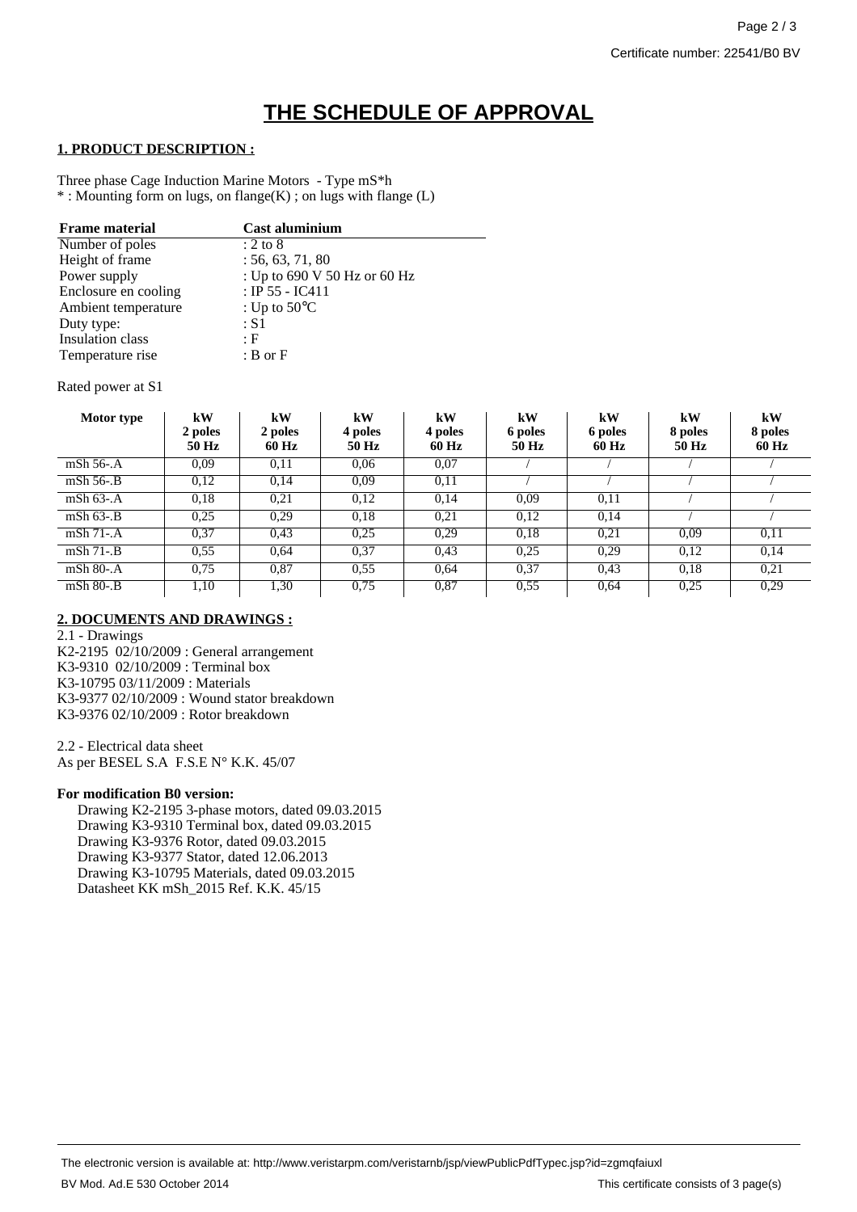# **THE SCHEDULE OF APPROVAL**

### **1. PRODUCT DESCRIPTION :**

Three phase Cage Induction Marine Motors - Type mS\*h \* : Mounting form on lugs, on flange(K) ; on lugs with flange (L)

| <b>Frame material</b>   | Cast aluminium               |
|-------------------------|------------------------------|
| Number of poles         | $: 2 \text{ to } 8$          |
| Height of frame         | : 56, 63, 71, 80             |
| Power supply            | : Up to 690 V 50 Hz or 60 Hz |
| Enclosure en cooling    | : IP 55 - IC411              |
| Ambient temperature     | : Up to $50^{\circ}$ C       |
| Duty type:              | $\therefore$ S1              |
| <b>Insulation</b> class | : F                          |
| Temperature rise        | $B$ or $F$                   |

#### Rated power at S1

| Motor type      | kW<br>2 poles<br>50 Hz | kW<br>2 poles<br>60 Hz | kW<br>4 poles<br>50 Hz | kW<br>4 poles<br>60 Hz | kW<br>6 poles<br><b>50 Hz</b> | kW<br>6 poles<br>60 Hz | kW<br>8 poles<br>50 Hz | kW<br>8 poles<br>60 Hz |
|-----------------|------------------------|------------------------|------------------------|------------------------|-------------------------------|------------------------|------------------------|------------------------|
| mSh 56-.A       | 0,09                   | 0,11                   | 0,06                   | 0,07                   |                               |                        |                        |                        |
| $mSh$ 56-. $B$  | 0,12                   | 0,14                   | 0.09                   | 0,11                   |                               |                        |                        |                        |
| mSh $63$ -.A    | 0.18                   | 0,21                   | 0.12                   | 0.14                   | 0.09                          | 0.11                   |                        |                        |
| $mSh$ 63-. $B$  | 0.25                   | 0,29                   | 0.18                   | 0,21                   | 0,12                          | 0,14                   |                        |                        |
| $mSh 71-A$      | 0,37                   | 0.43                   | 0.25                   | 0.29                   | 0.18                          | 0.21                   | 0.09                   | 0.11                   |
| $mSh$ 71-. $B$  | 0.55                   | 0.64                   | 0,37                   | 0.43                   | 0.25                          | 0,29                   | 0,12                   | 0,14                   |
| $mSh$ 80-. $A$  | 0.75                   | 0.87                   | 0.55                   | 0.64                   | 0.37                          | 0.43                   | 0.18                   | 0.21                   |
| $mSh 80-$ . $B$ | 1,10                   | 1,30                   | 0.75                   | 0,87                   | 0.55                          | 0.64                   | 0.25                   | 0.29                   |

# **2. DOCUMENTS AND DRAWINGS :**

2.1 - Drawings K2-2195 02/10/2009 : General arrangement K3-9310 02/10/2009 : Terminal box K3-10795 03/11/2009 : Materials K3-9377 02/10/2009 : Wound stator breakdown K3-9376 02/10/2009 : Rotor breakdown

2.2 - Electrical data sheet As per BESEL S.A F.S.E N° K.K. 45/07

#### **For modification B0 version:**

Drawing K2-2195 3-phase motors, dated 09.03.2015 Drawing K3-9310 Terminal box, dated 09.03.2015 Drawing K3-9376 Rotor, dated 09.03.2015 Drawing K3-9377 Stator, dated 12.06.2013 Drawing K3-10795 Materials, dated 09.03.2015 Datasheet KK mSh\_2015 Ref. K.K. 45/15